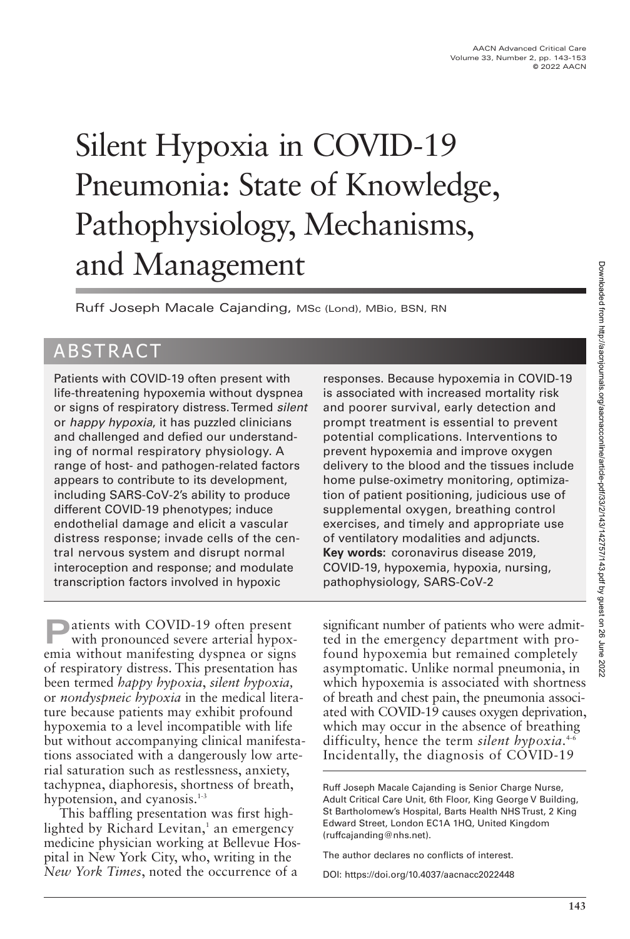# Silent Hypoxia in COVID-19 Pneumonia: State of Knowledge, Pathophysiology, Mechanisms, and Management

Ruff Joseph Macale Cajanding, MSc (Lond), MBio, BSN, RN

# ABSTRACT

Patients with COVID-19 often present with life-threatening hypoxemia without dyspnea or signs of respiratory distress. Termed silent or happy hypoxia, it has puzzled clinicians and challenged and defied our understanding of normal respiratory physiology. A range of host- and pathogen-related factors appears to contribute to its development, including SARS-CoV-2's ability to produce different COVID-19 phenotypes; induce endothelial damage and elicit a vascular distress response; invade cells of the central nervous system and disrupt normal interoception and response; and modulate transcription factors involved in hypoxic

**P**atients with COVID-19 often present with pronounced severe arterial hypoxemia without manifesting dyspnea or signs of respiratory distress. This presentation has been termed *happy hypoxia*, *silent hypoxia,* or *nondyspneic hypoxia* in the medical literature because patients may exhibit profound hypoxemia to a level incompatible with life but without accompanying clinical manifestations associated with a dangerously low arterial saturation such as restlessness, anxiety, tachypnea, diaphoresis, shortness of breath, hypotension, and cyanosis.<sup>1-3</sup>

This baffling presentation was first highlighted by Richard Levitan,<sup>1</sup> an emergency medicine physician working at Bellevue Hospital in New York City, who, writing in the *New York Times*, noted the occurrence of a

responses. Because hypoxemia in COVID-19 is associated with increased mortality risk and poorer survival, early detection and prompt treatment is essential to prevent potential complications. Interventions to prevent hypoxemia and improve oxygen delivery to the blood and the tissues include home pulse-oximetry monitoring, optimization of patient positioning, judicious use of supplemental oxygen, breathing control exercises, and timely and appropriate use of ventilatory modalities and adjuncts. **Key words:** coronavirus disease 2019, COVID-19, hypoxemia, hypoxia, nursing, pathophysiology, SARS-CoV-2

significant number of patients who were admitted in the emergency department with profound hypoxemia but remained completely asymptomatic. Unlike normal pneumonia, in which hypoxemia is associated with shortness of breath and chest pain, the pneumonia associated with COVID-19 causes oxygen deprivation, which may occur in the absence of breathing difficulty, hence the term *silent hypoxia*. 4-6 Incidentally, the diagnosis of COVID-19

Ruff Joseph Macale Cajanding is Senior Charge Nurse, Adult Critical Care Unit, 6th Floor, King George V Building, St Bartholomew's Hospital, Barts Health NHS Trust, 2 King Edward Street, London EC1A 1HQ, United Kingdom (ruffcajanding@nhs.net).

The author declares no conflicts of interest.

DOI: https://doi.org/10.4037/aacnacc2022448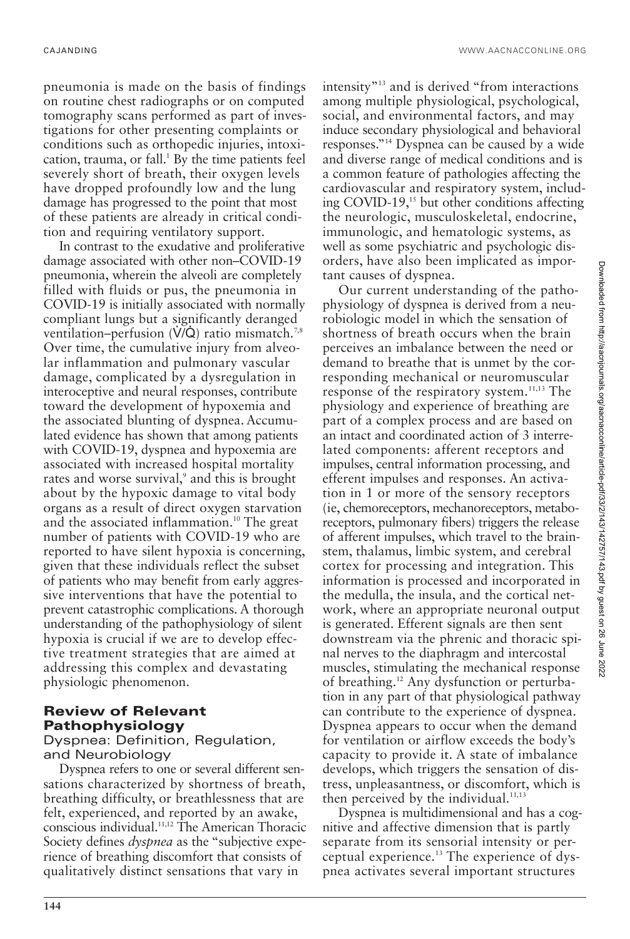CAJANDING WWW.AACNACCONLINE.ORG

pneumonia is made on the basis of findings on routine chest radiographs or on computed tomography scans performed as part of investigations for other presenting complaints or conditions such as orthopedic injuries, intoxication, trauma, or fall.<sup>1</sup> By the time patients feel severely short of breath, their oxygen levels have dropped profoundly low and the lung damage has progressed to the point that most of these patients are already in critical condition and requiring ventilatory support.

In contrast to the exudative and proliferative damage associated with other non–COVID-19 pneumonia, wherein the alveoli are completely filled with fluids or pus, the pneumonia in COVID-19 is initially associated with normally compliant lungs but a significantly deranged ventilation–perfusion  $(V/Q)$  ratio mismatch.<sup>7,8</sup> Over time, the cumulative injury from alveolar inflammation and pulmonary vascular damage, complicated by a dysregulation in interoceptive and neural responses, contribute toward the development of hypoxemia and the associated blunting of dyspnea. Accumulated evidence has shown that among patients with COVID-19, dyspnea and hypoxemia are associated with increased hospital mortality rates and worse survival,<sup>9</sup> and this is brought about by the hypoxic damage to vital body organs as a result of direct oxygen starvation and the associated inflammation.<sup>10</sup> The great number of patients with COVID-19 who are reported to have silent hypoxia is concerning, given that these individuals reflect the subset of patients who may benefit from early aggressive interventions that have the potential to prevent catastrophic complications. A thorough understanding of the pathophysiology of silent hypoxia is crucial if we are to develop effective treatment strategies that are aimed at addressing this complex and devastating physiologic phenomenon.

## **Review of Relevant Pathophysiology**

Dyspnea: Definition, Regulation, and Neurobiology

Dyspnea refers to one or several different sensations characterized by shortness of breath, breathing difficulty, or breathlessness that are felt, experienced, and reported by an awake, conscious individual.11,12 The American Thoracic Society defines *dyspnea* as the "subjective experience of breathing discomfort that consists of qualitatively distinct sensations that vary in

intensity"13 and is derived "from interactions among multiple physiological, psychological, social, and environmental factors, and may induce secondary physiological and behavioral responses."14 Dyspnea can be caused by a wide and diverse range of medical conditions and is a common feature of pathologies affecting the cardiovascular and respiratory system, including COVID-19,<sup>15</sup> but other conditions affecting the neurologic, musculoskeletal, endocrine, immunologic, and hematologic systems, as well as some psychiatric and psychologic disorders, have also been implicated as important causes of dyspnea.

Our current understanding of the pathophysiology of dyspnea is derived from a neurobiologic model in which the sensation of shortness of breath occurs when the brain perceives an imbalance between the need or demand to breathe that is unmet by the corresponding mechanical or neuromuscular response of the respiratory system.<sup>11,13</sup> The physiology and experience of breathing are part of a complex process and are based on an intact and coordinated action of 3 interrelated components: afferent receptors and impulses, central information processing, and efferent impulses and responses. An activation in 1 or more of the sensory receptors (ie, chemoreceptors, mechanoreceptors, metaboreceptors, pulmonary fibers) triggers the release of afferent impulses, which travel to the brainstem, thalamus, limbic system, and cerebral cortex for processing and integration. This information is processed and incorporated in the medulla, the insula, and the cortical network, where an appropriate neuronal output is generated. Efferent signals are then sent downstream via the phrenic and thoracic spinal nerves to the diaphragm and intercostal muscles, stimulating the mechanical response of breathing.<sup>12</sup> Any dysfunction or perturbation in any part of that physiological pathway can contribute to the experience of dyspnea. Dyspnea appears to occur when the demand for ventilation or airflow exceeds the body's capacity to provide it. A state of imbalance develops, which triggers the sensation of distress, unpleasantness, or discomfort, which is then perceived by the individual. $11,13$ 

Dyspnea is multidimensional and has a cognitive and affective dimension that is partly separate from its sensorial intensity or perceptual experience.<sup>13</sup> The experience of dyspnea activates several important structures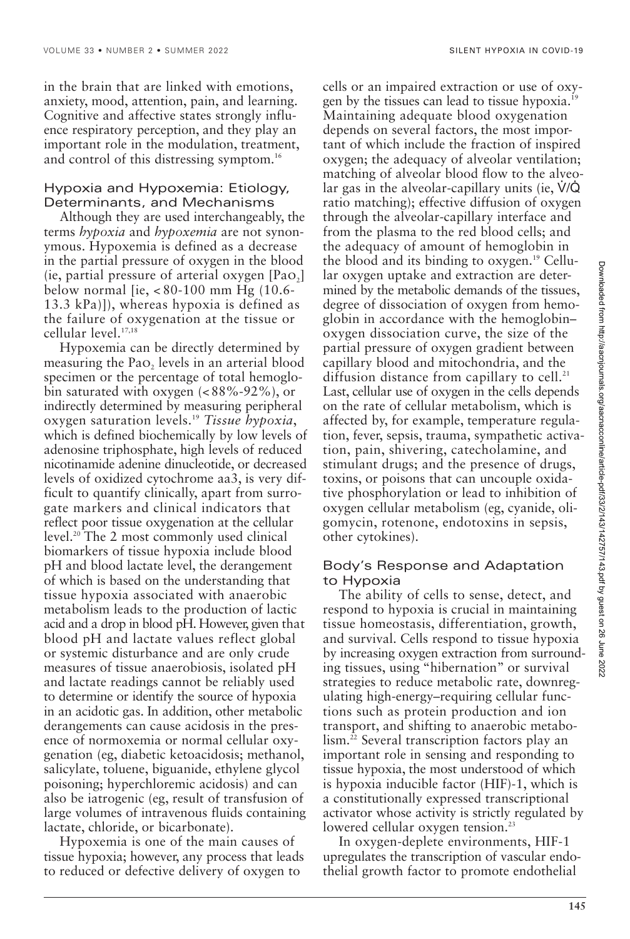in the brain that are linked with emotions, anxiety, mood, attention, pain, and learning. Cognitive and affective states strongly influence respiratory perception, and they play an important role in the modulation, treatment, and control of this distressing symptom.<sup>16</sup>

#### Hypoxia and Hypoxemia: Etiology, Determinants, and Mechanisms

Although they are used interchangeably, the terms *hypoxia* and *hypoxemia* are not synonymous. Hypoxemia is defined as a decrease in the partial pressure of oxygen in the blood  $(i$ e, partial pressure of arterial oxygen  $[PaO<sub>2</sub>]$ below normal [ie, < 80-100 mm Hg (10.6- 13.3 kPa)]), whereas hypoxia is defined as the failure of oxygenation at the tissue or cellular level.17,18

Hypoxemia can be directly determined by measuring the Pao, levels in an arterial blood specimen or the percentage of total hemoglobin saturated with oxygen (< 88%-92%), or indirectly determined by measuring peripheral oxygen saturation levels.19 *Tissue hypoxia*, which is defined biochemically by low levels of adenosine triphosphate, high levels of reduced nicotinamide adenine dinucleotide, or decreased levels of oxidized cytochrome aa3, is very difficult to quantify clinically, apart from surrogate markers and clinical indicators that reflect poor tissue oxygenation at the cellular level.20 The 2 most commonly used clinical biomarkers of tissue hypoxia include blood pH and blood lactate level, the derangement of which is based on the understanding that tissue hypoxia associated with anaerobic metabolism leads to the production of lactic acid and a drop in blood pH. However, given that blood pH and lactate values reflect global or systemic disturbance and are only crude measures of tissue anaerobiosis, isolated pH and lactate readings cannot be reliably used to determine or identify the source of hypoxia in an acidotic gas. In addition, other metabolic derangements can cause acidosis in the presence of normoxemia or normal cellular oxygenation (eg, diabetic ketoacidosis; methanol, salicylate, toluene, biguanide, ethylene glycol poisoning; hyperchloremic acidosis) and can also be iatrogenic (eg, result of transfusion of large volumes of intravenous fluids containing lactate, chloride, or bicarbonate).

Hypoxemia is one of the main causes of tissue hypoxia; however, any process that leads to reduced or defective delivery of oxygen to

cells or an impaired extraction or use of oxygen by the tissues can lead to tissue hypoxia.<sup>19</sup> Maintaining adequate blood oxygenation depends on several factors, the most important of which include the fraction of inspired oxygen; the adequacy of alveolar ventilation; matching of alveolar blood flow to the alveolar gas in the alveolar-capillary units (ie,  $\dot{V}/\dot{Q}$ ratio matching); effective diffusion of oxygen through the alveolar-capillary interface and from the plasma to the red blood cells; and the adequacy of amount of hemoglobin in the blood and its binding to oxygen.19 Cellular oxygen uptake and extraction are determined by the metabolic demands of the tissues, degree of dissociation of oxygen from hemoglobin in accordance with the hemoglobin– oxygen dissociation curve, the size of the partial pressure of oxygen gradient between capillary blood and mitochondria, and the diffusion distance from capillary to cell. $21$ Last, cellular use of oxygen in the cells depends on the rate of cellular metabolism, which is affected by, for example, temperature regulation, fever, sepsis, trauma, sympathetic activation, pain, shivering, catecholamine, and stimulant drugs; and the presence of drugs, toxins, or poisons that can uncouple oxidative phosphorylation or lead to inhibition of oxygen cellular metabolism (eg, cyanide, oligomycin, rotenone, endotoxins in sepsis, other cytokines).

#### Body's Response and Adaptation to Hypoxia

The ability of cells to sense, detect, and respond to hypoxia is crucial in maintaining tissue homeostasis, differentiation, growth, and survival. Cells respond to tissue hypoxia by increasing oxygen extraction from surrounding tissues, using "hibernation" or survival strategies to reduce metabolic rate, downregulating high-energy–requiring cellular functions such as protein production and ion transport, and shifting to anaerobic metabolism.<sup>22</sup> Several transcription factors play an important role in sensing and responding to tissue hypoxia, the most understood of which is hypoxia inducible factor (HIF)-1, which is a constitutionally expressed transcriptional activator whose activity is strictly regulated by lowered cellular oxygen tension.<sup>23</sup>

In oxygen-deplete environments, HIF-1 upregulates the transcription of vascular endothelial growth factor to promote endothelial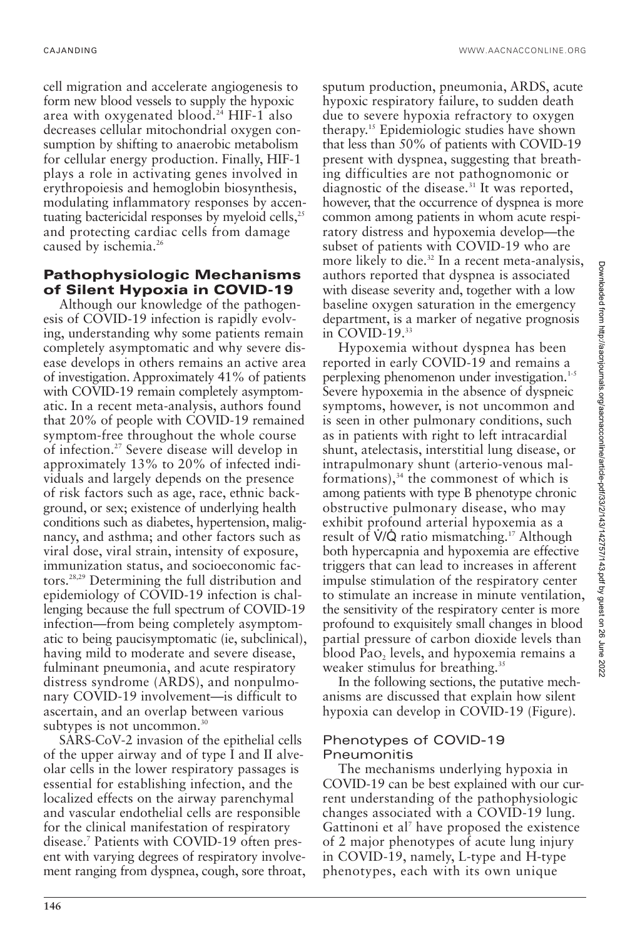cell migration and accelerate angiogenesis to form new blood vessels to supply the hypoxic area with oxygenated blood.24 HIF-1 also decreases cellular mitochondrial oxygen consumption by shifting to anaerobic metabolism for cellular energy production. Finally, HIF-1 plays a role in activating genes involved in erythropoiesis and hemoglobin biosynthesis, modulating inflammatory responses by accentuating bactericidal responses by myeloid cells,<sup>25</sup> and protecting cardiac cells from damage caused by ischemia.<sup>26</sup>

#### **Pathophysiologic Mechanisms of Silent Hypoxia in COVID-19**

Although our knowledge of the pathogenesis of COVID-19 infection is rapidly evolving, understanding why some patients remain completely asymptomatic and why severe disease develops in others remains an active area of investigation. Approximately 41% of patients with COVID-19 remain completely asymptomatic. In a recent meta-analysis, authors found that 20% of people with COVID-19 remained symptom-free throughout the whole course of infection.27 Severe disease will develop in approximately 13% to 20% of infected individuals and largely depends on the presence of risk factors such as age, race, ethnic background, or sex; existence of underlying health conditions such as diabetes, hypertension, malignancy, and asthma; and other factors such as viral dose, viral strain, intensity of exposure, immunization status, and socioeconomic factors.28,29 Determining the full distribution and epidemiology of COVID-19 infection is challenging because the full spectrum of COVID-19 infection—from being completely asymptomatic to being paucisymptomatic (ie, subclinical), having mild to moderate and severe disease, fulminant pneumonia, and acute respiratory distress syndrome (ARDS), and nonpulmonary COVID-19 involvement—is difficult to ascertain, and an overlap between various subtypes is not uncommon.<sup>30</sup>

SARS-CoV-2 invasion of the epithelial cells of the upper airway and of type I and II alveolar cells in the lower respiratory passages is essential for establishing infection, and the localized effects on the airway parenchymal and vascular endothelial cells are responsible for the clinical manifestation of respiratory disease.7 Patients with COVID-19 often present with varying degrees of respiratory involvement ranging from dyspnea, cough, sore throat,

sputum production, pneumonia, ARDS, acute hypoxic respiratory failure, to sudden death due to severe hypoxia refractory to oxygen therapy.15 Epidemiologic studies have shown that less than 50% of patients with COVID-19 present with dyspnea, suggesting that breathing difficulties are not pathognomonic or diagnostic of the disease. $31$  It was reported, however, that the occurrence of dyspnea is more common among patients in whom acute respiratory distress and hypoxemia develop—the subset of patients with COVID-19 who are more likely to die.<sup>32</sup> In a recent meta-analysis, authors reported that dyspnea is associated with disease severity and, together with a low baseline oxygen saturation in the emergency department, is a marker of negative prognosis in COVID-19.<sup>33</sup>

Hypoxemia without dyspnea has been reported in early COVID-19 and remains a perplexing phenomenon under investigation.<sup>1-5</sup> Severe hypoxemia in the absence of dyspneic symptoms, however, is not uncommon and is seen in other pulmonary conditions, such as in patients with right to left intracardial shunt, atelectasis, interstitial lung disease, or intrapulmonary shunt (arterio-venous malformations), $34$  the commonest of which is among patients with type B phenotype chronic obstructive pulmonary disease, who may exhibit profound arterial hypoxemia as a result of  $\dot{V}/\dot{Q}$  ratio mismatching.<sup>17</sup> Although both hypercapnia and hypoxemia are effective triggers that can lead to increases in afferent impulse stimulation of the respiratory center to stimulate an increase in minute ventilation, the sensitivity of the respiratory center is more profound to exquisitely small changes in blood partial pressure of carbon dioxide levels than blood Pao, levels, and hypoxemia remains a weaker stimulus for breathing.<sup>35</sup>

In the following sections, the putative mechanisms are discussed that explain how silent hypoxia can develop in COVID-19 (Figure).

#### Phenotypes of COVID-19 Pneumonitis

The mechanisms underlying hypoxia in COVID-19 can be best explained with our current understanding of the pathophysiologic changes associated with a COVID-19 lung. Gattinoni et al<sup>7</sup> have proposed the existence of 2 major phenotypes of acute lung injury in COVID-19, namely, L-type and H-type phenotypes, each with its own unique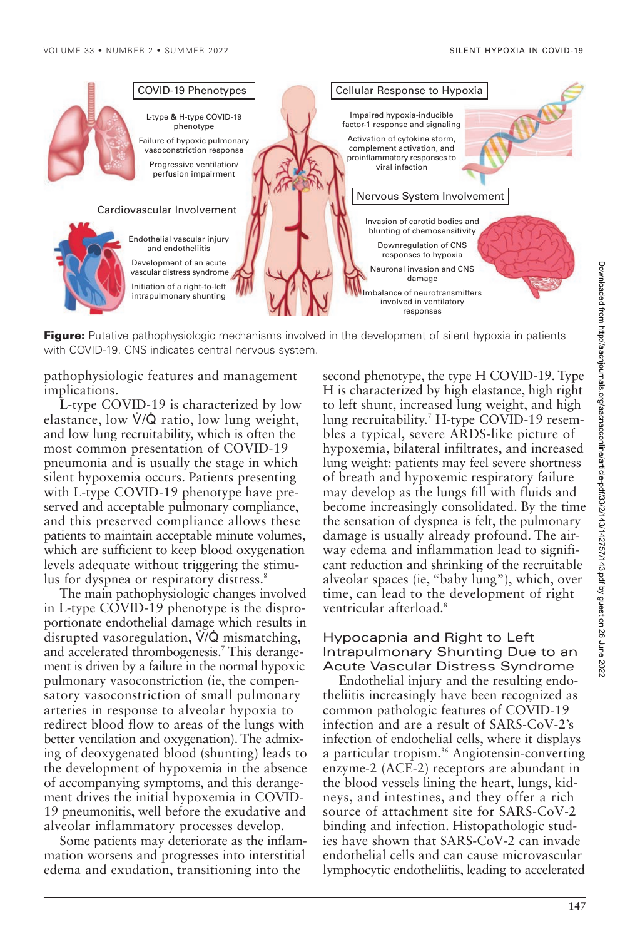

**Figure:** Putative pathophysiologic mechanisms involved in the development of silent hypoxia in patients with COVID-19. CNS indicates central nervous system.

pathophysiologic features and management implications.

L-type COVID-19 is characterized by low elastance, low V/Q ratio, low lung weight, and low lung recruitability, which is often the most common presentation of COVID-19 pneumonia and is usually the stage in which silent hypoxemia occurs. Patients presenting with L-type COVID-19 phenotype have preserved and acceptable pulmonary compliance, and this preserved compliance allows these patients to maintain acceptable minute volumes, which are sufficient to keep blood oxygenation levels adequate without triggering the stimulus for dyspnea or respiratory distress.<sup>8</sup>

The main pathophysiologic changes involved in L-type COVID-19 phenotype is the disproportionate endothelial damage which results in disrupted vasoregulation,  $V/Q$  mismatching, and accelerated thrombogenesis.7 This derangement is driven by a failure in the normal hypoxic pulmonary vasoconstriction (ie, the compensatory vasoconstriction of small pulmonary arteries in response to alveolar hypoxia to redirect blood flow to areas of the lungs with better ventilation and oxygenation). The admixing of deoxygenated blood (shunting) leads to the development of hypoxemia in the absence of accompanying symptoms, and this derangement drives the initial hypoxemia in COVID-19 pneumonitis, well before the exudative and alveolar inflammatory processes develop.

Some patients may deteriorate as the inflammation worsens and progresses into interstitial edema and exudation, transitioning into the

second phenotype, the type H COVID-19. Type H is characterized by high elastance, high right to left shunt, increased lung weight, and high lung recruitability.<sup>7</sup> H-type COVID-19 resembles a typical, severe ARDS-like picture of hypoxemia, bilateral infiltrates, and increased lung weight: patients may feel severe shortness of breath and hypoxemic respiratory failure may develop as the lungs fill with fluids and become increasingly consolidated. By the time the sensation of dyspnea is felt, the pulmonary damage is usually already profound. The airway edema and inflammation lead to significant reduction and shrinking of the recruitable alveolar spaces (ie, "baby lung"), which, over time, can lead to the development of right ventricular afterload.<sup>8</sup>

#### Hypocapnia and Right to Left Intrapulmonary Shunting Due to an Acute Vascular Distress Syndrome

Endothelial injury and the resulting endotheliitis increasingly have been recognized as common pathologic features of COVID-19 infection and are a result of SARS-CoV-2's infection of endothelial cells, where it displays a particular tropism.<sup>36</sup> Angiotensin-converting enzyme-2 (ACE-2) receptors are abundant in the blood vessels lining the heart, lungs, kidneys, and intestines, and they offer a rich source of attachment site for SARS-CoV-2 binding and infection. Histopathologic studies have shown that SARS-CoV-2 can invade endothelial cells and can cause microvascular lymphocytic endotheliitis, leading to accelerated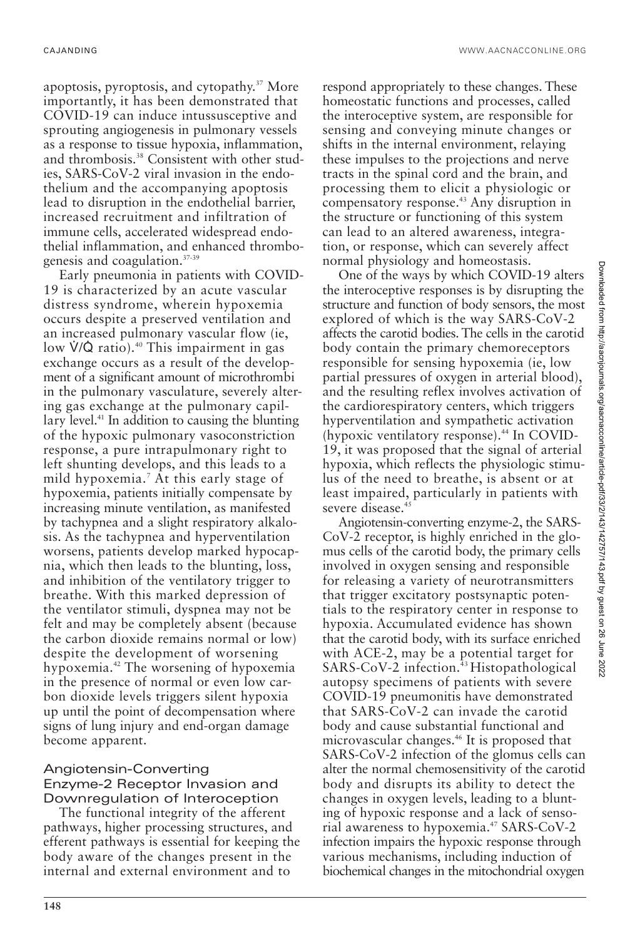apoptosis, pyroptosis, and cytopathy.37 More importantly, it has been demonstrated that COVID-19 can induce intussusceptive and sprouting angiogenesis in pulmonary vessels as a response to tissue hypoxia, inflammation, and thrombosis.<sup>38</sup> Consistent with other studies, SARS-CoV-2 viral invasion in the endothelium and the accompanying apoptosis lead to disruption in the endothelial barrier, increased recruitment and infiltration of immune cells, accelerated widespread endothelial inflammation, and enhanced thrombogenesis and coagulation.37-39

Early pneumonia in patients with COVID-19 is characterized by an acute vascular distress syndrome, wherein hypoxemia occurs despite a preserved ventilation and an increased pulmonary vascular flow (ie, low  $\dot{V}/\dot{Q}$  ratio).<sup>40</sup> This impairment in gas exchange occurs as a result of the development of a significant amount of microthrombi in the pulmonary vasculature, severely altering gas exchange at the pulmonary capillary level. $41$  In addition to causing the blunting of the hypoxic pulmonary vasoconstriction response, a pure intrapulmonary right to left shunting develops, and this leads to a mild hypoxemia.7 At this early stage of hypoxemia, patients initially compensate by increasing minute ventilation, as manifested by tachypnea and a slight respiratory alkalosis. As the tachypnea and hyperventilation worsens, patients develop marked hypocapnia, which then leads to the blunting, loss, and inhibition of the ventilatory trigger to breathe. With this marked depression of the ventilator stimuli, dyspnea may not be felt and may be completely absent (because the carbon dioxide remains normal or low) despite the development of worsening hypoxemia.42 The worsening of hypoxemia in the presence of normal or even low carbon dioxide levels triggers silent hypoxia up until the point of decompensation where signs of lung injury and end-organ damage become apparent.

#### Angiotensin-Converting Enzyme-2 Receptor Invasion and Downregulation of Interoception

The functional integrity of the afferent pathways, higher processing structures, and efferent pathways is essential for keeping the body aware of the changes present in the internal and external environment and to

respond appropriately to these changes. These homeostatic functions and processes, called the interoceptive system, are responsible for sensing and conveying minute changes or shifts in the internal environment, relaying these impulses to the projections and nerve tracts in the spinal cord and the brain, and processing them to elicit a physiologic or compensatory response.43 Any disruption in the structure or functioning of this system can lead to an altered awareness, integration, or response, which can severely affect normal physiology and homeostasis.

One of the ways by which COVID-19 alters the interoceptive responses is by disrupting the structure and function of body sensors, the most explored of which is the way SARS-CoV-2 affects the carotid bodies. The cells in the carotid body contain the primary chemoreceptors responsible for sensing hypoxemia (ie, low partial pressures of oxygen in arterial blood), and the resulting reflex involves activation of the cardiorespiratory centers, which triggers hyperventilation and sympathetic activation (hypoxic ventilatory response).<sup>44</sup> In COVID-19, it was proposed that the signal of arterial hypoxia, which reflects the physiologic stimulus of the need to breathe, is absent or at least impaired, particularly in patients with severe disease.<sup>45</sup>

Angiotensin-converting enzyme-2, the SARS-CoV-2 receptor, is highly enriched in the glomus cells of the carotid body, the primary cells involved in oxygen sensing and responsible for releasing a variety of neurotransmitters that trigger excitatory postsynaptic potentials to the respiratory center in response to hypoxia. Accumulated evidence has shown that the carotid body, with its surface enriched with ACE-2, may be a potential target for SARS-CoV-2 infection.<sup>43</sup> Histopathological autopsy specimens of patients with severe COVID-19 pneumonitis have demonstrated that SARS-CoV-2 can invade the carotid body and cause substantial functional and microvascular changes.<sup>46</sup> It is proposed that SARS-CoV-2 infection of the glomus cells can alter the normal chemosensitivity of the carotid body and disrupts its ability to detect the changes in oxygen levels, leading to a blunting of hypoxic response and a lack of sensorial awareness to hypoxemia.<sup>47</sup> SARS-CoV-2 infection impairs the hypoxic response through various mechanisms, including induction of biochemical changes in the mitochondrial oxygen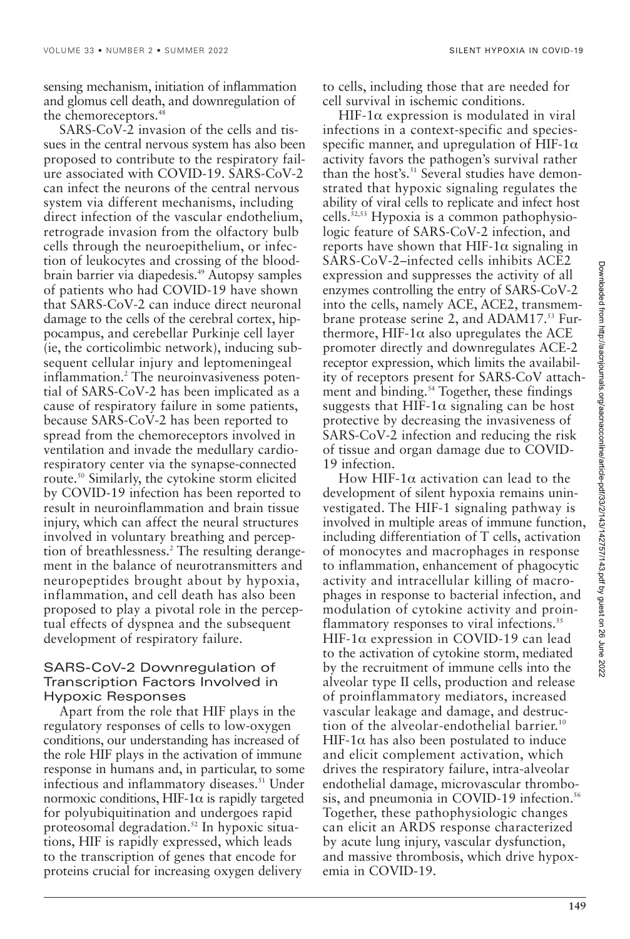sensing mechanism, initiation of inflammation and glomus cell death, and downregulation of the chemoreceptors.<sup>48</sup>

SARS-CoV-2 invasion of the cells and tissues in the central nervous system has also been proposed to contribute to the respiratory failure associated with COVID-19. SARS-CoV-2 can infect the neurons of the central nervous system via different mechanisms, including direct infection of the vascular endothelium, retrograde invasion from the olfactory bulb cells through the neuroepithelium, or infection of leukocytes and crossing of the bloodbrain barrier via diapedesis.49 Autopsy samples of patients who had COVID-19 have shown that SARS-CoV-2 can induce direct neuronal damage to the cells of the cerebral cortex, hippocampus, and cerebellar Purkinje cell layer (ie, the corticolimbic network), inducing subsequent cellular injury and leptomeningeal inflammation.<sup>2</sup> The neuroinvasiveness potential of SARS-CoV-2 has been implicated as a cause of respiratory failure in some patients, because SARS-CoV-2 has been reported to spread from the chemoreceptors involved in ventilation and invade the medullary cardiorespiratory center via the synapse-connected route.50 Similarly, the cytokine storm elicited by COVID-19 infection has been reported to result in neuroinflammation and brain tissue injury, which can affect the neural structures involved in voluntary breathing and perception of breathlessness.<sup>2</sup> The resulting derangement in the balance of neurotransmitters and neuropeptides brought about by hypoxia, inflammation, and cell death has also been proposed to play a pivotal role in the perceptual effects of dyspnea and the subsequent development of respiratory failure.

#### SARS-CoV-2 Downregulation of Transcription Factors Involved in Hypoxic Responses

Apart from the role that HIF plays in the regulatory responses of cells to low-oxygen conditions, our understanding has increased of the role HIF plays in the activation of immune response in humans and, in particular, to some infectious and inflammatory diseases.<sup>51</sup> Under normoxic conditions, HIF-1 $\alpha$  is rapidly targeted for polyubiquitination and undergoes rapid proteosomal degradation.<sup>52</sup> In hypoxic situations, HIF is rapidly expressed, which leads to the transcription of genes that encode for proteins crucial for increasing oxygen delivery

to cells, including those that are needed for cell survival in ischemic conditions.

HIF-1 $\alpha$  expression is modulated in viral infections in a context-specific and speciesspecific manner, and upregulation of HIF-1 $\alpha$ activity favors the pathogen's survival rather than the host's.<sup>51</sup> Several studies have demonstrated that hypoxic signaling regulates the ability of viral cells to replicate and infect host cells.52,53 Hypoxia is a common pathophysiologic feature of SARS-CoV-2 infection, and reports have shown that HIF-1 $\alpha$  signaling in SARS-CoV-2–infected cells inhibits ACE2 expression and suppresses the activity of all enzymes controlling the entry of SARS-CoV-2 into the cells, namely ACE, ACE2, transmembrane protease serine 2, and ADAM17.<sup>53</sup> Furthermore, HIF-1 $\alpha$  also upregulates the ACE promoter directly and downregulates ACE-2 receptor expression, which limits the availability of receptors present for SARS-CoV attachment and binding.<sup>54</sup> Together, these findings suggests that HIF-1 $\alpha$  signaling can be host protective by decreasing the invasiveness of SARS-CoV-2 infection and reducing the risk of tissue and organ damage due to COVID-19 infection.

How HIF-1 $\alpha$  activation can lead to the development of silent hypoxia remains uninvestigated. The HIF-1 signaling pathway is involved in multiple areas of immune function, including differentiation of T cells, activation of monocytes and macrophages in response to inflammation, enhancement of phagocytic activity and intracellular killing of macrophages in response to bacterial infection, and modulation of cytokine activity and proinflammatory responses to viral infections.<sup>55</sup> HIF-1 $\alpha$  expression in COVID-19 can lead to the activation of cytokine storm, mediated by the recruitment of immune cells into the alveolar type II cells, production and release of proinflammatory mediators, increased vascular leakage and damage, and destruction of the alveolar-endothelial barrier.<sup>10</sup> HIF-1 $\alpha$  has also been postulated to induce and elicit complement activation, which drives the respiratory failure, intra-alveolar endothelial damage, microvascular thrombosis, and pneumonia in COVID-19 infection.<sup>56</sup> Together, these pathophysiologic changes can elicit an ARDS response characterized by acute lung injury, vascular dysfunction, and massive thrombosis, which drive hypoxemia in COVID-19.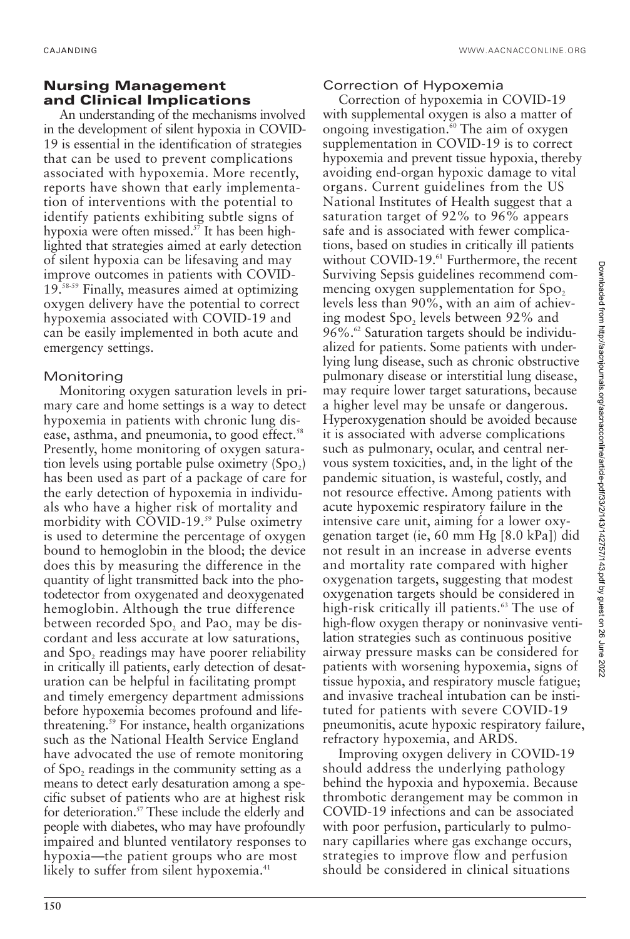# **Nursing Management and Clinical Implications**

An understanding of the mechanisms involved in the development of silent hypoxia in COVID-19 is essential in the identification of strategies that can be used to prevent complications associated with hypoxemia. More recently, reports have shown that early implementation of interventions with the potential to identify patients exhibiting subtle signs of hypoxia were often missed.<sup>57</sup> It has been highlighted that strategies aimed at early detection of silent hypoxia can be lifesaving and may improve outcomes in patients with COVID-19.58-59 Finally, measures aimed at optimizing oxygen delivery have the potential to correct hypoxemia associated with COVID-19 and can be easily implemented in both acute and emergency settings.

### Monitoring

Monitoring oxygen saturation levels in primary care and home settings is a way to detect hypoxemia in patients with chronic lung disease, asthma, and pneumonia, to good effect.<sup>58</sup> Presently, home monitoring of oxygen saturation levels using portable pulse oximetry  $(Spo<sub>2</sub>)$ has been used as part of a package of care for the early detection of hypoxemia in individuals who have a higher risk of mortality and morbidity with COVID-19.<sup>59</sup> Pulse oximetry is used to determine the percentage of oxygen bound to hemoglobin in the blood; the device does this by measuring the difference in the quantity of light transmitted back into the photodetector from oxygenated and deoxygenated hemoglobin. Although the true difference between recorded Spo, and Pao, may be discordant and less accurate at low saturations, and Spo<sub>2</sub> readings may have poorer reliability in critically ill patients, early detection of desaturation can be helpful in facilitating prompt and timely emergency department admissions before hypoxemia becomes profound and lifethreatening.59 For instance, health organizations such as the National Health Service England have advocated the use of remote monitoring of Spo<sub>2</sub> readings in the community setting as a means to detect early desaturation among a specific subset of patients who are at highest risk for deterioration.<sup>57</sup> These include the elderly and people with diabetes, who may have profoundly impaired and blunted ventilatory responses to hypoxia—the patient groups who are most likely to suffer from silent hypoxemia.<sup>41</sup>

# Correction of Hypoxemia

Correction of hypoxemia in COVID-19 with supplemental oxygen is also a matter of ongoing investigation.<sup>60</sup> The aim of oxygen supplementation in COVID-19 is to correct hypoxemia and prevent tissue hypoxia, thereby avoiding end-organ hypoxic damage to vital organs. Current guidelines from the US National Institutes of Health suggest that a saturation target of 92% to 96% appears safe and is associated with fewer complications, based on studies in critically ill patients without COVID-19.<sup>61</sup> Furthermore, the recent Surviving Sepsis guidelines recommend commencing oxygen supplementation for Spo. levels less than 90%, with an aim of achieving modest Spo<sub>2</sub> levels between 92% and 96%.<sup>62</sup> Saturation targets should be individualized for patients. Some patients with underlying lung disease, such as chronic obstructive pulmonary disease or interstitial lung disease, may require lower target saturations, because a higher level may be unsafe or dangerous. Hyperoxygenation should be avoided because it is associated with adverse complications such as pulmonary, ocular, and central nervous system toxicities, and, in the light of the pandemic situation, is wasteful, costly, and not resource effective. Among patients with acute hypoxemic respiratory failure in the intensive care unit, aiming for a lower oxygenation target (ie, 60 mm Hg [8.0 kPa]) did not result in an increase in adverse events and mortality rate compared with higher oxygenation targets, suggesting that modest oxygenation targets should be considered in high-risk critically ill patients.<sup>63</sup> The use of high-flow oxygen therapy or noninvasive ventilation strategies such as continuous positive airway pressure masks can be considered for patients with worsening hypoxemia, signs of tissue hypoxia, and respiratory muscle fatigue; and invasive tracheal intubation can be instituted for patients with severe COVID-19 pneumonitis, acute hypoxic respiratory failure, refractory hypoxemia, and ARDS.

Improving oxygen delivery in COVID-19 should address the underlying pathology behind the hypoxia and hypoxemia. Because thrombotic derangement may be common in COVID-19 infections and can be associated with poor perfusion, particularly to pulmonary capillaries where gas exchange occurs, strategies to improve flow and perfusion should be considered in clinical situations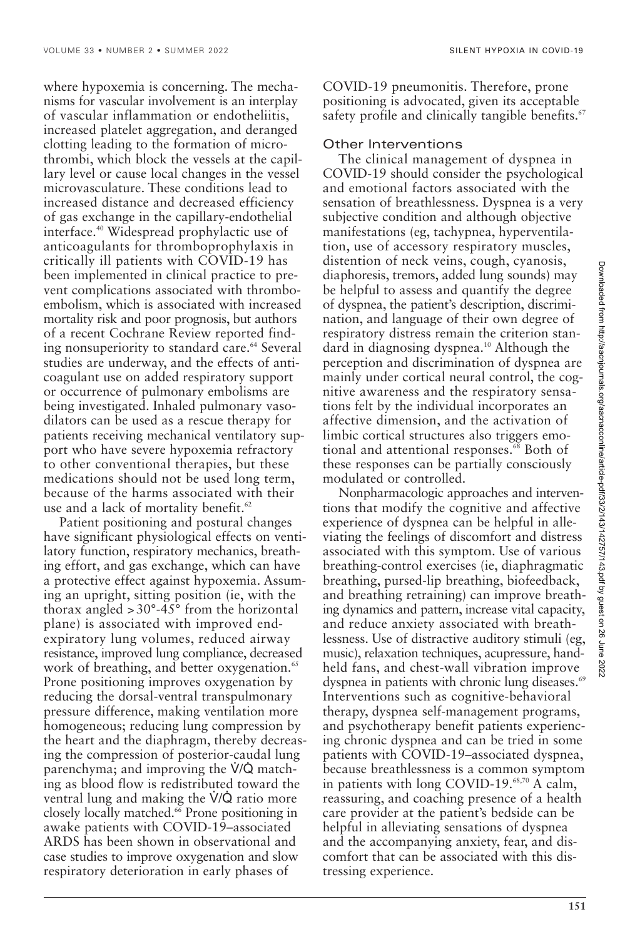where hypoxemia is concerning. The mechanisms for vascular involvement is an interplay of vascular inflammation or endotheliitis, increased platelet aggregation, and deranged clotting leading to the formation of microthrombi, which block the vessels at the capillary level or cause local changes in the vessel microvasculature. These conditions lead to increased distance and decreased efficiency of gas exchange in the capillary-endothelial interface.40 Widespread prophylactic use of anticoagulants for thromboprophylaxis in critically ill patients with COVID-19 has been implemented in clinical practice to prevent complications associated with thromboembolism, which is associated with increased mortality risk and poor prognosis, but authors of a recent Cochrane Review reported finding nonsuperiority to standard care.<sup>64</sup> Several studies are underway, and the effects of anticoagulant use on added respiratory support or occurrence of pulmonary embolisms are being investigated. Inhaled pulmonary vasodilators can be used as a rescue therapy for patients receiving mechanical ventilatory support who have severe hypoxemia refractory to other conventional therapies, but these medications should not be used long term, because of the harms associated with their use and a lack of mortality benefit. $62$ 

Patient positioning and postural changes have significant physiological effects on ventilatory function, respiratory mechanics, breathing effort, and gas exchange, which can have a protective effect against hypoxemia. Assuming an upright, sitting position (ie, with the thorax angled  $>30^{\circ}$ -45° from the horizontal plane) is associated with improved endexpiratory lung volumes, reduced airway resistance, improved lung compliance, decreased work of breathing, and better oxygenation.<sup>65</sup> Prone positioning improves oxygenation by reducing the dorsal-ventral transpulmonary pressure difference, making ventilation more homogeneous; reducing lung compression by the heart and the diaphragm, thereby decreasing the compression of posterior-caudal lung parenchyma; and improving the  $\dot{V}/\dot{Q}$  matching as blood flow is redistributed toward the ventral lung and making the  $\dot{V}/\dot{Q}$  ratio more closely locally matched.<sup>66</sup> Prone positioning in awake patients with COVID-19–associated ARDS has been shown in observational and case studies to improve oxygenation and slow respiratory deterioration in early phases of

COVID-19 pneumonitis. Therefore, prone positioning is advocated, given its acceptable safety profile and clinically tangible benefits.<sup>67</sup>

#### Other Interventions

The clinical management of dyspnea in COVID-19 should consider the psychological and emotional factors associated with the sensation of breathlessness. Dyspnea is a very subjective condition and although objective manifestations (eg, tachypnea, hyperventilation, use of accessory respiratory muscles, distention of neck veins, cough, cyanosis, diaphoresis, tremors, added lung sounds) may be helpful to assess and quantify the degree of dyspnea, the patient's description, discrimination, and language of their own degree of respiratory distress remain the criterion standard in diagnosing dyspnea.<sup>10</sup> Although the perception and discrimination of dyspnea are mainly under cortical neural control, the cognitive awareness and the respiratory sensations felt by the individual incorporates an affective dimension, and the activation of limbic cortical structures also triggers emotional and attentional responses.<sup>68</sup> Both of these responses can be partially consciously modulated or controlled.

Nonpharmacologic approaches and interventions that modify the cognitive and affective experience of dyspnea can be helpful in alleviating the feelings of discomfort and distress associated with this symptom. Use of various breathing-control exercises (ie, diaphragmatic breathing, pursed-lip breathing, biofeedback, and breathing retraining) can improve breathing dynamics and pattern, increase vital capacity, and reduce anxiety associated with breathlessness. Use of distractive auditory stimuli (eg, music), relaxation techniques, acupressure, handheld fans, and chest-wall vibration improve dyspnea in patients with chronic lung diseases.<sup>69</sup> Interventions such as cognitive-behavioral therapy, dyspnea self-management programs, and psychotherapy benefit patients experiencing chronic dyspnea and can be tried in some patients with COVID-19–associated dyspnea, because breathlessness is a common symptom in patients with long COVID-19.<sup>68,70</sup> A calm, reassuring, and coaching presence of a health care provider at the patient's bedside can be helpful in alleviating sensations of dyspnea and the accompanying anxiety, fear, and discomfort that can be associated with this distressing experience.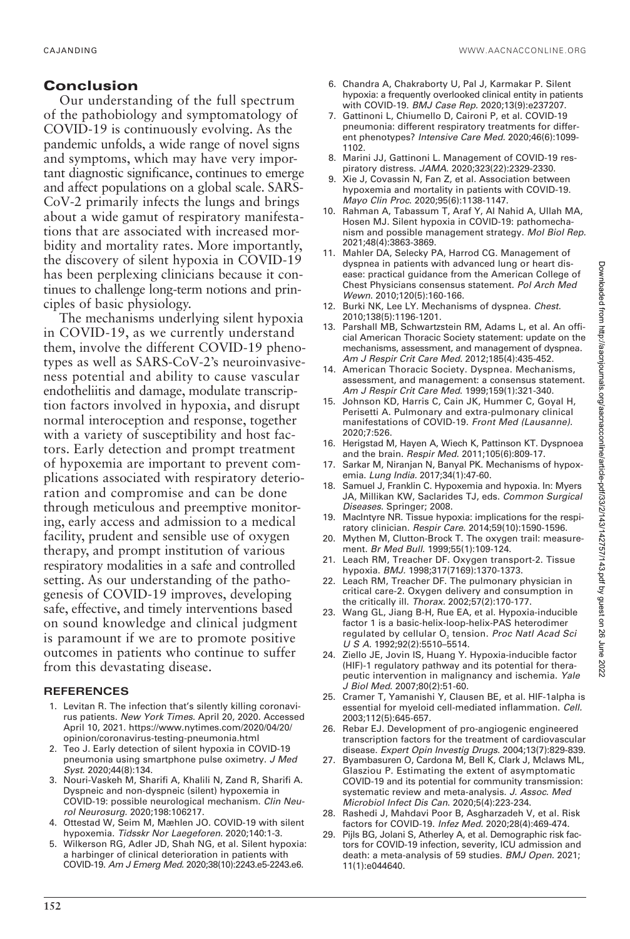# **Conclusion**

Our understanding of the full spectrum of the pathobiology and symptomatology of COVID-19 is continuously evolving. As the pandemic unfolds, a wide range of novel signs and symptoms, which may have very important diagnostic significance, continues to emerge and affect populations on a global scale. SARS-CoV-2 primarily infects the lungs and brings about a wide gamut of respiratory manifestations that are associated with increased morbidity and mortality rates. More importantly, the discovery of silent hypoxia in COVID-19 has been perplexing clinicians because it continues to challenge long-term notions and principles of basic physiology.

The mechanisms underlying silent hypoxia in COVID-19, as we currently understand them, involve the different COVID-19 phenotypes as well as SARS-CoV-2's neuroinvasiveness potential and ability to cause vascular endotheliitis and damage, modulate transcription factors involved in hypoxia, and disrupt normal interoception and response, together with a variety of susceptibility and host factors. Early detection and prompt treatment of hypoxemia are important to prevent complications associated with respiratory deterioration and compromise and can be done through meticulous and preemptive monitoring, early access and admission to a medical facility, prudent and sensible use of oxygen therapy, and prompt institution of various respiratory modalities in a safe and controlled setting. As our understanding of the pathogenesis of COVID-19 improves, developing safe, effective, and timely interventions based on sound knowledge and clinical judgment is paramount if we are to promote positive outcomes in patients who continue to suffer from this devastating disease.

# **REFERENCES**

- 1. Levitan R. The infection that's silently killing coronavirus patients. New York Times. April 20, 2020. Accessed April 10, 2021. https://www.nytimes.com/2020/04/20/ opinion/coronavirus-testing-pneumonia.html
- 2. Teo J. Early detection of silent hypoxia in COVID-19 pneumonia using smartphone pulse oximetry. J Med Syst. 2020;44(8):134.
- 3. Nouri-Vaskeh M, Sharifi A, Khalili N, Zand R, Sharifi A. Dyspneic and non-dyspneic (silent) hypoxemia in COVID-19: possible neurological mechanism. Clin Neurol Neurosurg. 2020;198:106217.
- 4. Ottestad W, Seim M, Mæhlen JO. COVID-19 with silent hypoxemia. Tidsskr Nor Laegeforen. 2020;140:1-3.
- 5. Wilkerson RG, Adler JD, Shah NG, et al. Silent hypoxia: a harbinger of clinical deterioration in patients with COVID-19. Am J Emerg Med. 2020;38(10):2243.e5-2243.e6.
- 6. Chandra A, Chakraborty U, Pal J, Karmakar P. Silent hypoxia: a frequently overlooked clinical entity in patients with COVID-19. BMJ Case Rep. 2020;13(9):e237207.
- 7. Gattinoni L, Chiumello D, Caironi P, et al. COVID-19 pneumonia: different respiratory treatments for different phenotypes? Intensive Care Med. 2020;46(6):1099- 1102.
- 8. Marini JJ, Gattinoni L. Management of COVID-19 respiratory distress. JAMA. 2020;323(22):2329-2330.
- 9. Xie J, Covassin N, Fan Z, et al. Association between hypoxemia and mortality in patients with COVID-19. Mayo Clin Proc. 2020;95(6):1138-1147.
- 10. Rahman A, Tabassum T, Araf Y, Al Nahid A, Ullah MA, Hosen MJ. Silent hypoxia in COVID-19: pathomechanism and possible management strategy. Mol Biol Rep. 2021;48(4):3863-3869.
- 11. Mahler DA, Selecky PA, Harrod CG. Management of dyspnea in patients with advanced lung or heart disease: practical guidance from the American College of Chest Physicians consensus statement. Pol Arch Med Wewn. 2010;120(5):160-166.
- 12. Burki NK, Lee LY. Mechanisms of dyspnea. Chest. 2010;138(5):1196-1201.
- 13. Parshall MB, Schwartzstein RM, Adams L, et al. An official American Thoracic Society statement: update on the mechanisms, assessment, and management of dyspnea. Am J Respir Crit Care Med. 2012;185(4):435-452.
- 14. American Thoracic Society. Dyspnea. Mechanisms, assessment, and management: a consensus statement. Am J Respir Crit Care Med. 1999;159(1):321-340.
- 15. Johnson KD, Harris C, Cain JK, Hummer C, Goyal H, Perisetti A. Pulmonary and extra-pulmonary clinical manifestations of COVID-19. Front Med (Lausanne). 2020;7:526.
- 16. Herigstad M, Hayen A, Wiech K, Pattinson KT. Dyspnoea and the brain. Respir Med. 2011;105(6):809-17.
- 17. Sarkar M, Niranjan N, Banyal PK. Mechanisms of hypoxemia. Lung India. 2017;34(1):47-60.
- 18. Samuel J, Franklin C. Hypoxemia and hypoxia. In: Myers JA, Millikan KW, Saclarides TJ, eds. Common Surgical Diseases. Springer; 2008.
- 19. MacIntyre NR. Tissue hypoxia: implications for the respiratory clinician. Respir Care. 2014;59(10):1590-1596.
- Mythen M, Clutton-Brock T. The oxygen trail: measurement. Br Med Bull. 1999;55(1):109-124.
- 21. Leach RM, Treacher DF. Oxygen transport-2. Tissue hypoxia. BMJ. 1998;317(7169):1370-1373.
- 22. Leach RM, Treacher DF. The pulmonary physician in critical care-2. Oxygen delivery and consumption in the critically ill. Thorax. 2002;57(2):170-177.
- 23. Wang GL, Jiang B-H, Rue EA, et al. Hypoxia-inducible factor 1 is a basic-helix-loop-helix-PAS heterodimer regulated by cellular  $O<sub>2</sub>$  tension. Proc Natl Acad Sci U S A. 1992;92(2):5510–5514.
- 24. Ziello JE, Jovin IS, Huang Y. Hypoxia-inducible factor (HIF)-1 regulatory pathway and its potential for therapeutic intervention in malignancy and ischemia. Yale J Biol Med. 2007;80(2):51-60.
- 25. Cramer T, Yamanishi Y, Clausen BE, et al. HIF-1alpha is essential for myeloid cell-mediated inflammation. Cell. 2003;112(5):645-657.
- 26. Rebar EJ. Development of pro-angiogenic engineered transcription factors for the treatment of cardiovascular disease. Expert Opin Investig Drugs. 2004;13(7):829-839.
- 27. Byambasuren O, Cardona M, Bell K, Clark J, Mclaws ML, Glasziou P. Estimating the extent of asymptomatic COVID-19 and its potential for community transmission: systematic review and meta-analysis. J. Assoc. Med Microbiol Infect Dis Can. 2020;5(4):223-234.
- 28. Rashedi J, Mahdavi Poor B, Asgharzadeh V, et al. Risk factors for COVID-19. Infez Med. 2020;28(4):469-474.
- 29. Pijls BG, Jolani S, Atherley A, et al. Demographic risk factors for COVID-19 infection, severity, ICU admission and death: a meta-analysis of 59 studies. BMJ Open. 2021; 11(1):e044640.